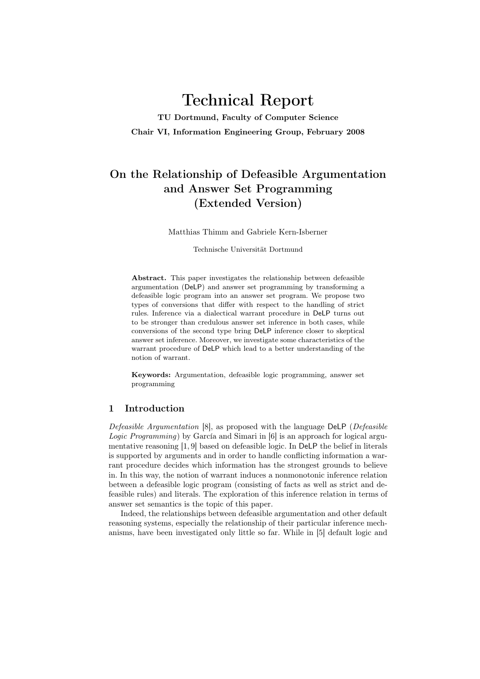# Technical Report

TU Dortmund, Faculty of Computer Science Chair VI, Information Engineering Group, February 2008

# On the Relationship of Defeasible Argumentation and Answer Set Programming (Extended Version)

Matthias Thimm and Gabriele Kern-Isberner

Technische Universität Dortmund

Abstract. This paper investigates the relationship between defeasible argumentation (DeLP) and answer set programming by transforming a defeasible logic program into an answer set program. We propose two types of conversions that differ with respect to the handling of strict rules. Inference via a dialectical warrant procedure in DeLP turns out to be stronger than credulous answer set inference in both cases, while conversions of the second type bring DeLP inference closer to skeptical answer set inference. Moreover, we investigate some characteristics of the warrant procedure of DeLP which lead to a better understanding of the notion of warrant.

Keywords: Argumentation, defeasible logic programming, answer set programming

# 1 Introduction

Defeasible Argumentation [8], as proposed with the language DeLP (Defeasible Logic Programming) by García and Simari in [6] is an approach for logical argumentative reasoning [1, 9] based on defeasible logic. In DeLP the belief in literals is supported by arguments and in order to handle conflicting information a warrant procedure decides which information has the strongest grounds to believe in. In this way, the notion of warrant induces a nonmonotonic inference relation between a defeasible logic program (consisting of facts as well as strict and defeasible rules) and literals. The exploration of this inference relation in terms of answer set semantics is the topic of this paper.

Indeed, the relationships between defeasible argumentation and other default reasoning systems, especially the relationship of their particular inference mechanisms, have been investigated only little so far. While in [5] default logic and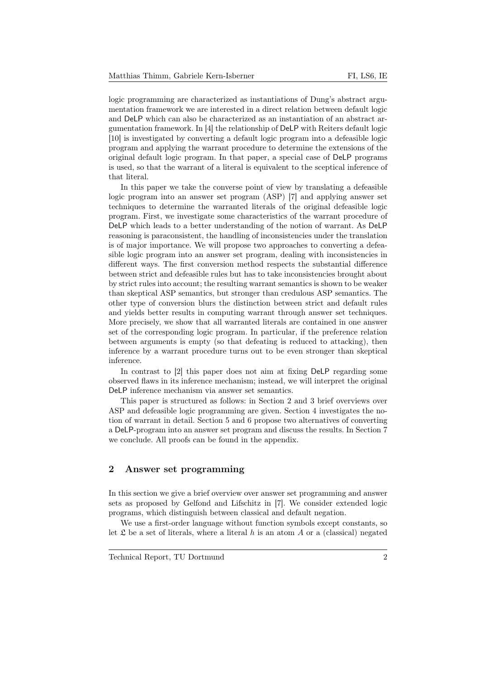logic programming are characterized as instantiations of Dung's abstract argumentation framework we are interested in a direct relation between default logic and DeLP which can also be characterized as an instantiation of an abstract argumentation framework. In [4] the relationship of DeLP with Reiters default logic [10] is investigated by converting a default logic program into a defeasible logic program and applying the warrant procedure to determine the extensions of the original default logic program. In that paper, a special case of DeLP programs is used, so that the warrant of a literal is equivalent to the sceptical inference of that literal.

In this paper we take the converse point of view by translating a defeasible logic program into an answer set program (ASP) [7] and applying answer set techniques to determine the warranted literals of the original defeasible logic program. First, we investigate some characteristics of the warrant procedure of DeLP which leads to a better understanding of the notion of warrant. As DeLP reasoning is paraconsistent, the handling of inconsistencies under the translation is of major importance. We will propose two approaches to converting a defeasible logic program into an answer set program, dealing with inconsistencies in different ways. The first conversion method respects the substantial difference between strict and defeasible rules but has to take inconsistencies brought about by strict rules into account; the resulting warrant semantics is shown to be weaker than skeptical ASP semantics, but stronger than credulous ASP semantics. The other type of conversion blurs the distinction between strict and default rules and yields better results in computing warrant through answer set techniques. More precisely, we show that all warranted literals are contained in one answer set of the corresponding logic program. In particular, if the preference relation between arguments is empty (so that defeating is reduced to attacking), then inference by a warrant procedure turns out to be even stronger than skeptical inference.

In contrast to [2] this paper does not aim at fixing DeLP regarding some observed flaws in its inference mechanism; instead, we will interpret the original DeLP inference mechanism via answer set semantics.

This paper is structured as follows: in Section 2 and 3 brief overviews over ASP and defeasible logic programming are given. Section 4 investigates the notion of warrant in detail. Section 5 and 6 propose two alternatives of converting a DeLP-program into an answer set program and discuss the results. In Section 7 we conclude. All proofs can be found in the appendix.

# 2 Answer set programming

In this section we give a brief overview over answer set programming and answer sets as proposed by Gelfond and Lifschitz in [7]. We consider extended logic programs, which distinguish between classical and default negation.

We use a first-order language without function symbols except constants, so let  $\mathfrak L$  be a set of literals, where a literal h is an atom A or a (classical) negated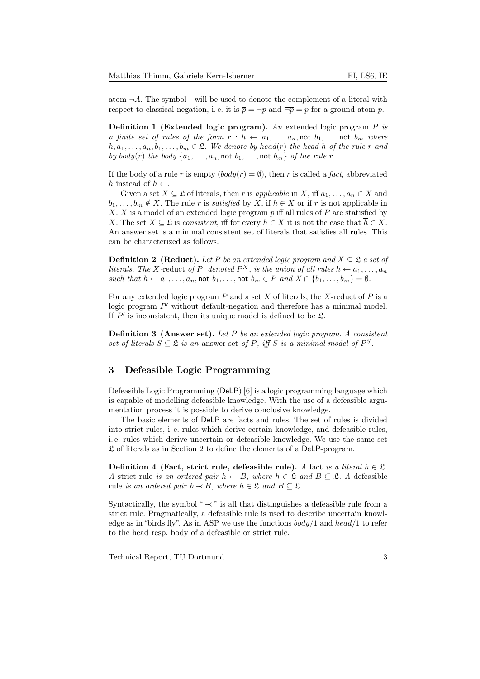atom  $\neg A$ . The symbol  $\bar{\phantom{a}}$  will be used to denote the complement of a literal with respect to classical negation, i.e. it is  $\bar{p} = \neg p$  and  $\bar{\neg p} = p$  for a ground atom p.

**Definition 1 (Extended logic program).** An extended logic program  $P$  is a finite set of rules of the form  $r : h \leftarrow a_1, \ldots, a_n$ , not  $b_1, \ldots$ , not  $b_m$  where  $h, a_1, \ldots, a_n, b_1, \ldots, b_m \in \mathfrak{L}$ . We denote by head(r) the head h of the rule r and by body(r) the body  $\{a_1, \ldots, a_n, \text{not } b_1, \ldots, \text{not } b_m\}$  of the rule r.

If the body of a rule r is empty  $(body(r) = \emptyset)$ , then r is called a fact, abbreviated h instead of  $h \leftarrow$ .

Given a set  $X \subseteq \mathfrak{L}$  of literals, then r is applicable in X, iff  $a_1, \ldots, a_n \in X$  and  $b_1, \ldots, b_m \notin X$ . The rule r is satisfied by X, if  $h \in X$  or if r is not applicable in X. X is a model of an extended logic program  $p$  iff all rules of  $P$  are statisfied by X. The set  $X \subseteq \mathfrak{L}$  is consistent, iff for every  $h \in X$  it is not the case that  $\overline{h} \in X$ . An answer set is a minimal consistent set of literals that satisfies all rules. This can be characterized as follows.

**Definition 2** (Reduct). Let P be an extended logic program and  $X \subseteq \mathcal{L}$  a set of literals. The X-reduct of P, denoted  $P^X$ , is the union of all rules  $h \leftarrow a_1, \ldots, a_n$ such that  $h \leftarrow a_1, \ldots, a_n$ , not  $b_1, \ldots$ , not  $b_m \in P$  and  $X \cap \{b_1, \ldots, b_m\} = \emptyset$ .

For any extended logic program  $P$  and a set  $X$  of literals, the X-reduct of  $P$  is a logic program  $P'$  without default-negation and therefore has a minimal model. If  $P'$  is inconsistent, then its unique model is defined to be  $\mathfrak{L}$ .

**Definition 3 (Answer set).** Let  $P$  be an extended logic program. A consistent set of literals  $S \subseteq \mathfrak{L}$  is an answer set of P, iff S is a minimal model of  $P^S$ .

# 3 Defeasible Logic Programming

Defeasible Logic Programming (DeLP) [6] is a logic programming language which is capable of modelling defeasible knowledge. With the use of a defeasible argumentation process it is possible to derive conclusive knowledge.

The basic elements of DeLP are facts and rules. The set of rules is divided into strict rules, i. e. rules which derive certain knowledge, and defeasible rules, i. e. rules which derive uncertain or defeasible knowledge. We use the same set  $\mathfrak L$  of literals as in Section 2 to define the elements of a DeLP-program.

Definition 4 (Fact, strict rule, defeasible rule). A fact is a literal  $h \in \mathfrak{L}$ . A strict rule is an ordered pair  $h \leftarrow B$ , where  $h \in \mathfrak{L}$  and  $B \subset \mathfrak{L}$ . A defeasible rule is an ordered pair  $h \rightarrow B$ , where  $h \in \mathfrak{L}$  and  $B \subset \mathfrak{L}$ .

Syntactically, the symbol "  $\prec$ " is all that distinguishes a defeasible rule from a strict rule. Pragmatically, a defeasible rule is used to describe uncertain knowledge as in "birds fly". As in ASP we use the functions  $body/1$  and  $head/1$  to refer to the head resp. body of a defeasible or strict rule.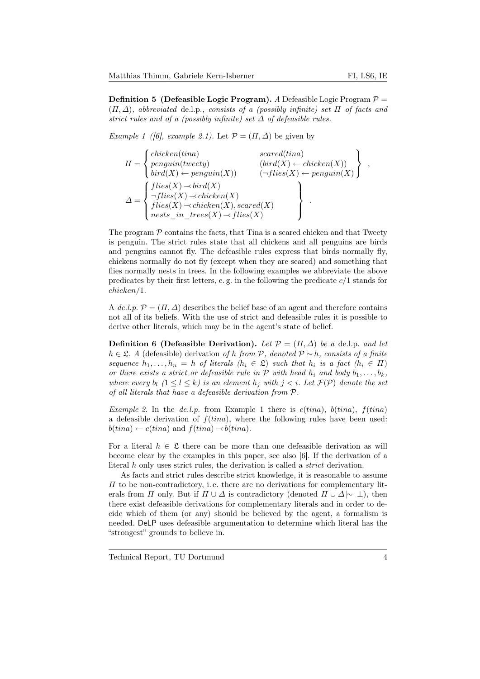**Definition 5** (Defeasible Logic Program). A Defeasible Logic Program  $\mathcal{P} =$  $(\Pi, \Delta)$ , abbreviated de.l.p., consists of a (possibly infinite) set  $\Pi$  of facts and strict rules and of a (possibly infinite) set  $\Delta$  of defeasible rules.

Example 1 ([6], example 2.1). Let  $\mathcal{P} = (\Pi, \Delta)$  be given by

$$
\Pi = \begin{cases}\n\text{chicken}(\text{tina}) & \text{search}(\text{tina}) \\
\text{penguin}(\text{tweety}) & (\text{bird}(X) \leftarrow \text{chicken}(X)) \\
\text{bird}(X) \leftarrow \text{penguin}(X) & (\neg \text{flies}(X) \leftarrow \text{penguin}(X) \\
\text{files}(X) \rightarrow \text{chicken}(X) \\
\text{files}(X) \rightarrow \text{chicken}(X), \text{search}(X) \\
\text{nets\_in\_trees}(X) \rightarrow \text{files}(X)\n\end{cases},
$$

The program  $P$  contains the facts, that Tina is a scared chicken and that Tweety is penguin. The strict rules state that all chickens and all penguins are birds and penguins cannot fly. The defeasible rules express that birds normally fly, chickens normally do not fly (except when they are scared) and something that flies normally nests in trees. In the following examples we abbreviate the above predicates by their first letters, e.g. in the following the predicate  $c/1$  stands for chicken/1.

A de.l.p.  $\mathcal{P} = (\Pi, \Delta)$  describes the belief base of an agent and therefore contains not all of its beliefs. With the use of strict and defeasible rules it is possible to derive other literals, which may be in the agent's state of belief.

**Definition 6 (Defeasible Derivation).** Let  $\mathcal{P} = (\Pi, \Delta)$  be a de.l.p. and let h ∈ £. A (defeasible) derivation of h from P, denoted  $\mathcal{P} \setminus h$ , consists of a finite sequence  $h_1, \ldots, h_n = h$  of literals  $(h_i \in \mathfrak{L})$  such that  $h_i$  is a fact  $(h_i \in \Pi)$ or there exists a strict or defeasible rule in  $P$  with head  $h_i$  and body  $b_1, \ldots, b_k$ , where every  $b_l$   $(1 \leq l \leq k)$  is an element  $h_j$  with  $j < i$ . Let  $\mathcal{F}(\mathcal{P})$  denote the set of all literals that have a defeasible derivation from P.

*Example 2.* In the *de.l.p.* from Example 1 there is  $c(tina)$ ,  $b(tina)$ ,  $f(tina)$ a defeasible derivation of  $f(tina)$ , where the following rules have been used:  $b(tina) \leftarrow c(tina)$  and  $f(tina) \rightarrow b(tina)$ .

For a literal  $h \in \mathfrak{L}$  there can be more than one defeasible derivation as will become clear by the examples in this paper, see also [6]. If the derivation of a literal h only uses strict rules, the derivation is called a strict derivation.

As facts and strict rules describe strict knowledge, it is reasonable to assume  $\Pi$  to be non-contradictory, i.e. there are no derivations for complementary literals from  $\Pi$  only. But if  $\Pi \cup \Delta$  is contradictory (denoted  $\Pi \cup \Delta \sim \bot$ ), then there exist defeasible derivations for complementary literals and in order to decide which of them (or any) should be believed by the agent, a formalism is needed. DeLP uses defeasible argumentation to determine which literal has the "strongest" grounds to believe in.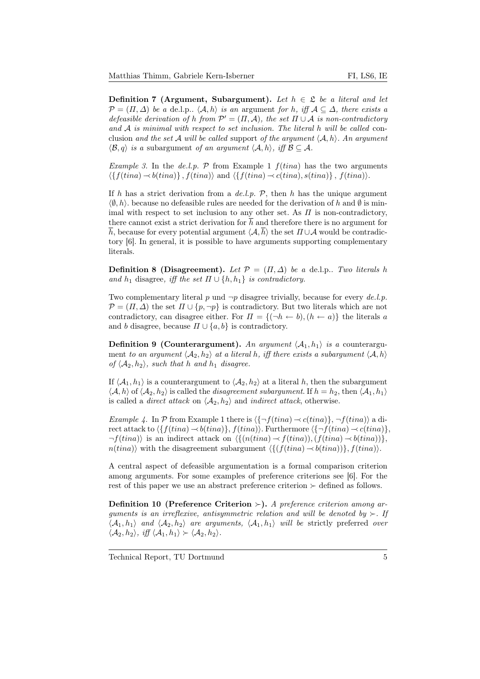**Definition 7 (Argument, Subargument).** Let  $h \in \mathcal{L}$  be a literal and let  $\mathcal{P} = (\Pi, \Delta)$  be a de.l.p..  $\langle \mathcal{A}, h \rangle$  is an argument for h, iff  $\mathcal{A} \subseteq \Delta$ , there exists a defeasible derivation of h from  $\mathcal{P}' = (\Pi, \mathcal{A})$ , the set  $\Pi \cup \mathcal{A}$  is non-contradictory and  $A$  is minimal with respect to set inclusion. The literal h will be called conclusion and the set A will be called support of the argument  $\langle A, h \rangle$ . An argument  $\langle \mathcal{B}, q \rangle$  is a subargument of an argument  $\langle \mathcal{A}, h \rangle$ , iff  $\mathcal{B} \subseteq \mathcal{A}$ .

*Example 3.* In the *de.l.p.*  $P$  from Example 1  $f(tina)$  has the two arguments  $\langle \{f(tina) \rightarrow b(tina)\}, f(tina)\rangle$  and  $\langle \{f(tina) \rightarrow c(tina), s(tina)\}, f(tina)\rangle$ .

If h has a strict derivation from a de.l.p.  $P$ , then h has the unique argument  $\langle \emptyset, h \rangle$ , because no defeasible rules are needed for the derivation of h and  $\emptyset$  is minimal with respect to set inclusion to any other set. As  $\Pi$  is non-contradictory, there cannot exist a strict derivation for  $\bar{h}$  and therefore there is no argument for  $\overline{h}$ , because for every potential argument  $\langle A, \overline{h} \rangle$  the set  $\Pi \cup A$  would be contradictory [6]. In general, it is possible to have arguments supporting complementary literals.

Definition 8 (Disagreement). Let  $\mathcal{P} = (\Pi, \Delta)$  be a de.l.p.. Two literals h and  $h_1$  disagree, iff the set  $\Pi \cup \{h, h_1\}$  is contradictory.

Two complementary literal p und  $\neg p$  disagree trivially, because for every de.l.p.  $\mathcal{P} = (\Pi, \Delta)$  the set  $\Pi \cup \{p, \neg p\}$  is contradictory. But two literals which are not contradictory, can disagree either. For  $\Pi = \{(\neg h \leftarrow b), (h \leftarrow a)\}\$ the literals a and b disagree, because  $\Pi \cup \{a, b\}$  is contradictory.

**Definition 9 (Counterargument).** An argument  $\langle A_1, h_1 \rangle$  is a counterargument to an argument  $\langle A_2, h_2 \rangle$  at a literal h, iff there exists a subargument  $\langle A, h \rangle$ of  $\langle A_2, h_2 \rangle$ , such that h and  $h_1$  disagree.

If  $\langle A_1, h_1 \rangle$  is a counterargument to  $\langle A_2, h_2 \rangle$  at a literal h, then the subargument  $\langle A, h \rangle$  of  $\langle A_2, h_2 \rangle$  is called the *disagreement subargument*. If  $h = h_2$ , then  $\langle A_1, h_1 \rangle$ is called a *direct attack* on  $\langle A_2, h_2 \rangle$  and *indirect attack*, otherwise.

Example 4. In P from Example 1 there is  $\langle \{-f(tina) \prec c(tina)\}, \neg f(tina)\rangle$  a direct attack to  $\{f(tina) \rightarrow b(tina)\}, f(tina)\}.$  Furthermore  $\{\neg f(tina) \rightarrow c(tina)\},$  $\neg f(tina)$  is an indirect attack on  $\langle \{(n(tina) \rightarrow f(tina)), (f(tina) \rightarrow b(tina))\}\rangle$ ,  $n(tina)$  with the disagreement subargument  $\langle \{ (f(tina) \rightarrow b(tina)) \}, f(tina) \rangle$ .

A central aspect of defeasible argumentation is a formal comparison criterion among arguments. For some examples of preference criterions see [6]. For the rest of this paper we use an abstract preference criterion  $\succ$  defined as follows.

**Definition 10 (Preference Criterion**  $\succ$ **).** A preference criterion among arguments is an irreflexive, antisymmetric relation and will be denoted by  $\succ$ . If  $\langle A_1, h_1 \rangle$  and  $\langle A_2, h_2 \rangle$  are arguments,  $\langle A_1, h_1 \rangle$  will be strictly preferred over  $\langle \mathcal{A}_2, h_2 \rangle$ , iff  $\langle \mathcal{A}_1, h_1 \rangle \succ \langle \mathcal{A}_2, h_2 \rangle$ .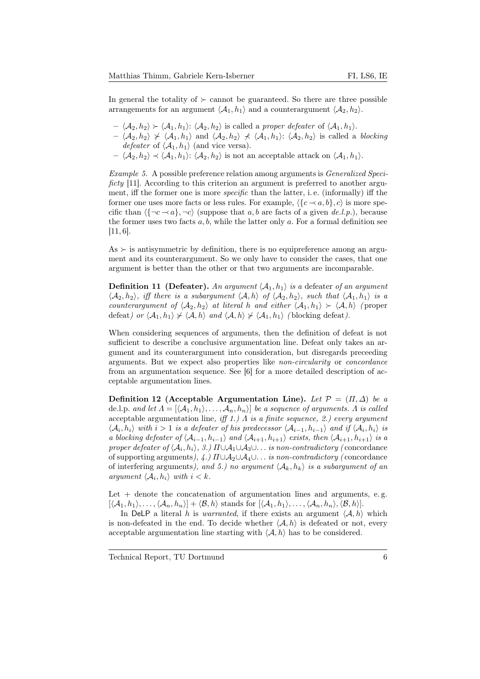In general the totality of  $\succeq$  cannot be guaranteed. So there are three possible arrangements for an argument  $\langle A_1, h_1 \rangle$  and a counterargument  $\langle A_2, h_2 \rangle$ .

- $\langle A_2, h_2 \rangle \succ \langle A_1, h_1 \rangle: \langle A_2, h_2 \rangle$  is called a proper defeater of  $\langle A_1, h_1 \rangle$ .
- $\langle A_2, h_2 \rangle \nless \langle A_1, h_1 \rangle$  and  $\langle A_2, h_2 \rangle \nless \langle A_1, h_1 \rangle$ :  $\langle A_2, h_2 \rangle$  is called a blocking defeater of  $\langle A_1, h_1 \rangle$  (and vice versa).
- $-\langle A_2, h_2\rangle \prec \langle A_1, h_1\rangle: \langle A_2, h_2\rangle$  is not an acceptable attack on  $\langle A_1, h_1\rangle$ .

Example 5. A possible preference relation among arguments is Generalized Specificty [11]. According to this criterion an argument is preferred to another argument, iff the former one is more *specific* than the latter, i.e. (informally) iff the former one uses more facts or less rules. For example,  $\langle {c \prec a, b}, c \rangle$  is more specific than  $\langle \{\neg c \prec a\}, \neg c \rangle$  (suppose that a, b are facts of a given de.l.p.), because the former uses two facts  $a, b$ , while the latter only  $a$ . For a formal definition see [11, 6].

 $As \succ is$  antisymmetric by definition, there is no equipreference among an argument and its counterargument. So we only have to consider the cases, that one argument is better than the other or that two arguments are incomparable.

**Definition 11 (Defeater).** An argument  $\langle A_1, h_1 \rangle$  is a defeater of an argument  $\langle A_2, h_2 \rangle$ , iff there is a subargument  $\langle A, h \rangle$  of  $\langle A_2, h_2 \rangle$ , such that  $\langle A_1, h_1 \rangle$  is a counterargument of  $\langle A_2, h_2 \rangle$  at literal h and either  $\langle A_1, h_1 \rangle \succ \langle A, h \rangle$  (proper defeat) or  $\langle A_1, h_1 \rangle \nless \langle A, h \rangle$  and  $\langle A, h \rangle \nless \langle A_1, h_1 \rangle$  (blocking defeat).

When considering sequences of arguments, then the definition of defeat is not sufficient to describe a conclusive argumentation line. Defeat only takes an argument and its counterargument into consideration, but disregards preceeding arguments. But we expect also properties like non-circularity or concordance from an argumentation sequence. See [6] for a more detailed description of acceptable argumentation lines.

Definition 12 (Acceptable Argumentation Line). Let  $\mathcal{P} = (\Pi, \Delta)$  be a de.l.p. and let  $\Lambda = [\langle A_1, h_1 \rangle, \ldots, A_n, h_n \rangle]$  be a sequence of arguments. A is called acceptable argumentation line, iff 1.)  $\Lambda$  is a finite sequence, 2.) every argument  $\langle A_i, h_i \rangle$  with  $i > 1$  is a defeater of his predecessor  $\langle A_{i-1}, h_{i-1} \rangle$  and if  $\langle A_i, h_i \rangle$  is a blocking defeater of  $\langle A_{i-1}, h_{i-1} \rangle$  and  $\langle A_{i+1}, h_{i+1} \rangle$  exists, then  $\langle A_{i+1}, h_{i+1} \rangle$  is a proper defeater of  $\langle A_i, h_i \rangle$ , 3.)  $\Pi \cup A_1 \cup A_3 \cup \ldots$  is non-contradictory (concordance of supporting arguments),  $\angle A$ .)  $\Pi \cup A_2 \cup A_4 \cup \ldots$  is non-contradictory (concordance of interfering arguments), and 5.) no argument  $\langle A_k, h_k \rangle$  is a subargument of an argument  $\langle A_i, h_i \rangle$  with  $i < k$ .

Let  $+$  denote the concatenation of argumentation lines and arguments, e.g.  $[\langle A_1, h_1 \rangle, \ldots, \langle A_n, h_n \rangle] + \langle \mathcal{B}, h \rangle$  stands for  $[\langle A_1, h_1 \rangle, \ldots, \langle A_n, h_n \rangle, \langle \mathcal{B}, h \rangle].$ 

In DeLP a literal h is warranted, if there exists an argument  $\langle A, h \rangle$  which is non-defeated in the end. To decide whether  $\langle A, h \rangle$  is defeated or not, every acceptable argumentation line starting with  $\langle A, h \rangle$  has to be considered.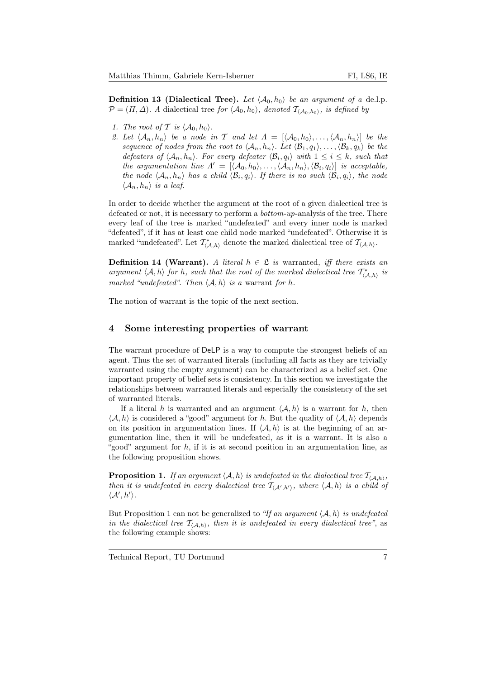**Definition 13 (Dialectical Tree).** Let  $\langle A_0, h_0 \rangle$  be an argument of a de.l.p.  $\mathcal{P} = (\Pi, \Delta)$ . A dialectical tree for  $\langle \mathcal{A}_0, h_0 \rangle$ , denoted  $\mathcal{T}_{\langle \mathcal{A}_0, h_0 \rangle}$ , is defined by

- 1. The root of T is  $\langle A_0, h_0 \rangle$ .
- 2. Let  $\langle A_n, h_n \rangle$  be a node in T and let  $\Lambda = [\langle A_0, h_0 \rangle, \ldots, \langle A_n, h_n \rangle]$  be the sequence of nodes from the root to  $\langle A_n, h_n \rangle$ . Let  $\langle B_1, q_1 \rangle, \ldots, \langle B_k, q_k \rangle$  be the defeaters of  $\langle A_n, h_n \rangle$ . For every defeater  $\langle B_i, q_i \rangle$  with  $1 \leq i \leq k$ , such that the argumentation line  $\Lambda' = [\langle A_0, h_0 \rangle, \ldots, \langle A_n, h_n \rangle, \langle B_i, q_i \rangle]$  is acceptable, the node  $\langle A_n, h_n \rangle$  has a child  $\langle B_i, q_i \rangle$ . If there is no such  $\langle B_i, q_i \rangle$ , the node  $\langle \mathcal{A}_n, h_n \rangle$  is a leaf.

In order to decide whether the argument at the root of a given dialectical tree is defeated or not, it is necessary to perform a bottom-up-analysis of the tree. There every leaf of the tree is marked "undefeated" and every inner node is marked "defeated", if it has at least one child node marked "undefeated". Otherwise it is marked "undefeated". Let  $\mathcal{T}^*_{\langle A,h\rangle}$  denote the marked dialectical tree of  $\mathcal{T}_{\langle A,h\rangle}$ .

**Definition 14 (Warrant).** A literal  $h \in \mathcal{L}$  is warranted, iff there exists an argument  $\langle A, h \rangle$  for h, such that the root of the marked dialectical tree  $\mathcal{T}^*_{\langle A, h \rangle}$  is marked "undefeated". Then  $\langle A, h \rangle$  is a warrant for h.

The notion of warrant is the topic of the next section.

## 4 Some interesting properties of warrant

The warrant procedure of DeLP is a way to compute the strongest beliefs of an agent. Thus the set of warranted literals (including all facts as they are trivially warranted using the empty argument) can be characterized as a belief set. One important property of belief sets is consistency. In this section we investigate the relationships between warranted literals and especially the consistency of the set of warranted literals.

If a literal h is warranted and an argument  $\langle A, h \rangle$  is a warrant for h, then  $\langle A, h \rangle$  is considered a "good" argument for h. But the quality of  $\langle A, h \rangle$  depends on its position in argumentation lines. If  $\langle A, h \rangle$  is at the beginning of an argumentation line, then it will be undefeated, as it is a warrant. It is also a "good" argument for  $h$ , if it is at second position in an argumentation line, as the following proposition shows.

**Proposition 1.** If an argument  $\langle A, h \rangle$  is undefeated in the dialectical tree  $\mathcal{T}_{\langle A,h \rangle}$ , then it is undefeated in every dialectical tree  $\mathcal{T}_{(\mathcal{A}',h')}$ , where  $\langle \mathcal{A}, h \rangle$  is a child of  $\langle A', h'\rangle$ .

But Proposition 1 can not be generalized to "If an argument  $\langle A, h \rangle$  is undefeated in the dialectical tree  $T_{(A,h)}$ , then it is undefeated in every dialectical tree", as the following example shows: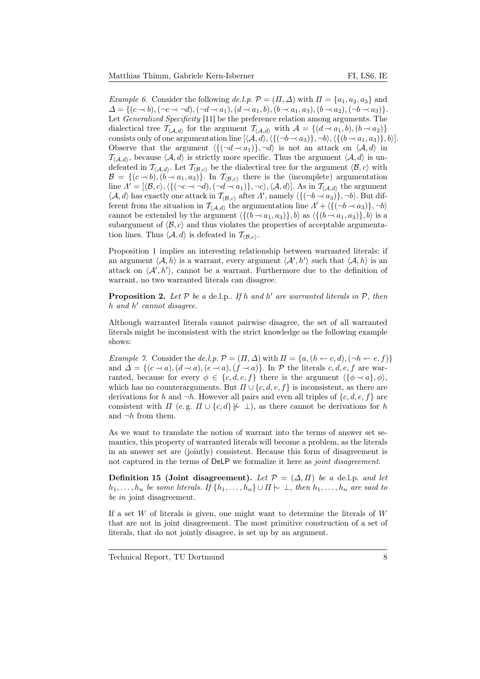*Example 6.* Consider the following de.l.p.  $\mathcal{P} = (\Pi, \Delta)$  with  $\Pi = \{a_1, a_2, a_3\}$  and  $\Delta = \{ (c \prec b), (\neg c \prec \neg d), (\neg d \prec a_1), (d \prec a_1, b), (b \prec a_1, a_3), (b \prec a_2), (\neg b \prec a_3) \}.$ Let *Generalized Specificity* [11] be the preference relation among arguments. The dialectical tree  $\mathcal{T}_{\langle A,d \rangle}$  for the argument  $\mathcal{T}_{\langle A,d \rangle}$  with  $\mathcal{A} = \{(d \prec a_1, b), (b \prec a_2)\}$ consists only of one argumentation line  $[\langle A, d \rangle, \langle \{(\neg b \rightarrow a_3)\}, \neg b \rangle, \langle \{(b \rightarrow a_1, a_3)\}, b \rangle].$ Observe that the argument  $\langle \{(\neg d \rightarrow a_1)\}, \neg d \rangle$  is not an attack on  $\langle A, d \rangle$  in  $\mathcal{T}_{(A,d)}$ , because  $\langle A, d \rangle$  is strictly more specific. Thus the argument  $\langle A, d \rangle$  is undefeated in  $\mathcal{T}_{(\mathcal{A},d)}$ . Let  $\mathcal{T}_{(\mathcal{B},c)}$  be the dialectical tree for the argument  $\langle \mathcal{B}, c \rangle$  with  $\mathcal{B} = \{ (c \sim b), (b \sim a_1, a_3) \}.$  In  $\mathcal{T}_{(\mathcal{B},c)}$  there is the (incomplete) argumentation line  $\Lambda' = [\langle \mathcal{B}, c \rangle, \langle \{(\neg c \prec \neg d),(\neg d \prec a_1)\}, \neg c \rangle, \langle \mathcal{A}, d \rangle]$ . As in  $\mathcal{T}_{\langle \mathcal{A}, d \rangle}$  the argument  $\langle A, d \rangle$  has exactly one attack in  $\mathcal{T}_{\langle \mathcal{B}, c \rangle}$  after  $\Lambda'$ , namely  $\langle \{ (\neg b \rightarrow a_3) \}, \neg b \rangle$ . But dif-<br>forget from the situation in  $\mathcal{T}_{\text{test}}$  the example time  $\Lambda' + \langle f(-b, \langle a_3 \rangle) - b \rangle$ ferent from the situation in  $\mathcal{T}_{(A,d)}$  the argumentation line  $\Lambda' + \{\{(\neg b \prec a_3)\}, \neg b\}$ cannot be extended by the argument  $\langle \{(b \prec a_1, a_3)\}, b \rangle$  as  $\langle \{(b \prec a_1, a_3)\}, b \rangle$  is a subargument of  $\langle \mathcal{B}, c \rangle$  and thus violates the properties of acceptable argumentation lines. Thus  $\langle A, d \rangle$  is defeated in  $\mathcal{T}_{\langle \mathcal{B}, c \rangle}$ .

Proposition 1 implies an interesting relationship between warranted literals: if an argument  $\langle A, h \rangle$  is a warrant, every argument  $\langle A', h' \rangle$  such that  $\langle A, h \rangle$  is an attack on  $\langle A', h' \rangle$ , cannot be a warrant. Furthermore due to the definition of warrant, no two warranted literals can disagree.

**Proposition 2.** Let  $P$  be a de.l.p.. If h and h' are warranted literals in  $P$ , then  $h$  and  $h'$  cannot disagree.

Although warranted literals cannot pairwise disagree, the set of all warranted literals might be inconsistent with the strict knowledge as the following example shows:

Example 7. Consider the de.l.p.  $\mathcal{P} = (\Pi, \Delta)$  with  $\Pi = \{a, (h \leftarrow c, d), (\neg h \leftarrow e, f)\}\$ and  $\Delta = \{(c \prec a), (d \prec a), (e \prec a), (f \prec a)\}\$ . In  $\mathcal P$  the literals c, d, e, f are warranted, because for every  $\phi \in \{c, d, e, f\}$  there is the argument  $\langle {\phi \rightarrow a}, \phi \rangle$ , which has no counterarguments. But  $\Pi \cup \{c, d, e, f\}$  is inconsistent, as there are derivations for h and  $\neg h$ . However all pairs and even all triples of  $\{c, d, e, f\}$  are consistent with  $\Pi$  (e.g.  $\Pi \cup \{c, d\} \not\models \bot$ ), as there cannot be derivations for h and  $\neg h$  from them.

As we want to translate the notion of warrant into the terms of answer set semantics, this property of warranted literals will become a problem, as the literals in an answer set are (jointly) consistent. Because this form of disagreement is not captured in the terms of DeLP we formalize it here as *joint disagreement*.

**Definition 15 (Joint disagreement).** Let  $\mathcal{P} = (\Delta, \Pi)$  be a de.l.p. and let  $h_1, \ldots, h_n$  be some literals. If  $\{h_1, \ldots, h_n\} \cup \Pi \rightarrow \bot$ , then  $h_1, \ldots, h_n$  are said to be in joint disagreement.

If a set  $W$  of literals is given, one might want to determine the literals of  $W$ that are not in joint disagreement. The most primitive construction of a set of literals, that do not jointly disagree, is set up by an argument.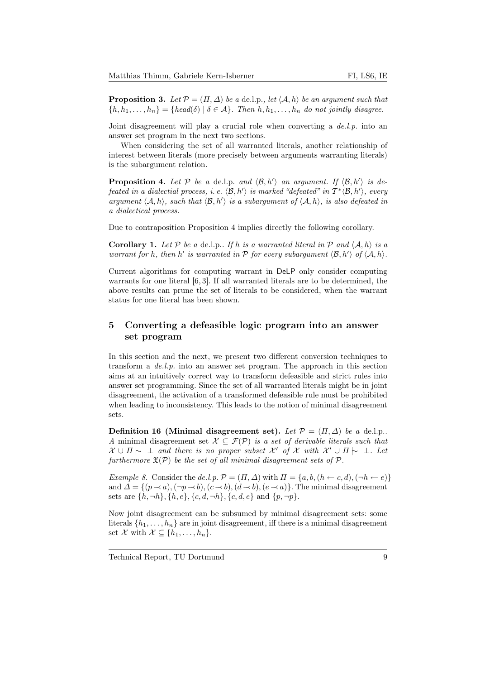**Proposition 3.** Let  $\mathcal{P} = (\Pi, \Delta)$  be a de.l.p., let  $\langle A, h \rangle$  be an argument such that  ${h, h_1, \ldots, h_n} = {head(\delta) | \delta \in \mathcal{A}}$ . Then  $h, h_1, \ldots, h_n$  do not jointly disagree.

Joint disagreement will play a crucial role when converting a  $de.l.p.$  into an answer set program in the next two sections.

When considering the set of all warranted literals, another relationship of interest between literals (more precisely between arguments warranting literals) is the subargument relation.

**Proposition 4.** Let  $P$  be a de.l.p. and  $\langle \mathcal{B}, h' \rangle$  an argument. If  $\langle \mathcal{B}, h' \rangle$  is defeated in a dialectial process, i.e.  $\langle \mathcal{B}, h' \rangle$  is marked "defeated" in  $T^* \langle \mathcal{B}, h' \rangle$ , every argument  $\langle A, h \rangle$ , such that  $\langle B, h' \rangle$  is a subargument of  $\langle A, h \rangle$ , is also defeated in a dialectical process.

Due to contraposition Proposition 4 implies directly the following corollary.

**Corollary 1.** Let P be a de.l.p.. If h is a warranted literal in P and  $\langle A, h \rangle$  is a warrant for h, then h' is warranted in  $P$  for every subargument  $\langle \mathcal{B}, h' \rangle$  of  $\langle A, h \rangle$ .

Current algorithms for computing warrant in DeLP only consider computing warrants for one literal [6,3]. If all warranted literals are to be determined, the above results can prune the set of literals to be considered, when the warrant status for one literal has been shown.

# 5 Converting a defeasible logic program into an answer set program

In this section and the next, we present two different conversion techniques to transform a  $de.l.p.$  into an answer set program. The approach in this section aims at an intuitively correct way to transform defeasible and strict rules into answer set programming. Since the set of all warranted literals might be in joint disagreement, the activation of a transformed defeasible rule must be prohibited when leading to inconsistency. This leads to the notion of minimal disagreement sets.

Definition 16 (Minimal disagreement set). Let  $\mathcal{P} = (\Pi, \Delta)$  be a de.l.p.. A minimal disagreement set  $\mathcal{X} \subseteq \mathcal{F}(\mathcal{P})$  is a set of derivable literals such that  $\mathcal{X} \cup \Pi$   $\sim \bot$  and there is no proper subset  $\mathcal{X}'$  of  $\mathcal{X}$  with  $\mathcal{X}' \cup \Pi$   $\sim \bot$ . Let furthermore  $\mathfrak{X}(\mathcal{P})$  be the set of all minimal disagreement sets of  $\mathcal{P}$ .

Example 8. Consider the de.l.p.  $\mathcal{P} = (\Pi, \Delta)$  with  $\Pi = \{a, b, (h \leftarrow c, d), (\neg h \leftarrow e)\}$ and  $\Delta = \{(p \rightarrow a), (\neg p \rightarrow b), (c \rightarrow b), (d \rightarrow b), (e \rightarrow a)\}.$  The minimal disagreement sets are  $\{h, \neg h\}$ ,  $\{h, e\}$ ,  $\{c, d, \neg h\}$ ,  $\{c, d, e\}$  and  $\{p, \neg p\}$ .

Now joint disagreement can be subsumed by minimal disagreement sets: some literals  $\{h_1, \ldots, h_n\}$  are in joint disagreement, iff there is a minimal disagreement set X with  $\mathcal{X} \subseteq \{h_1, \ldots, h_n\}.$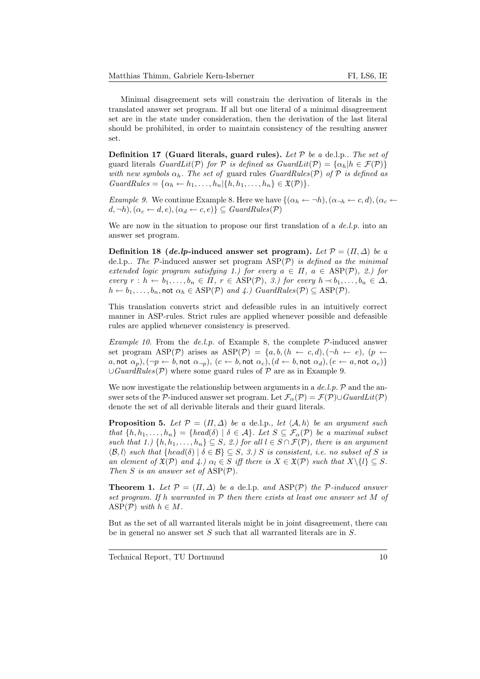Minimal disagreement sets will constrain the derivation of literals in the translated answer set program. If all but one literal of a minimal disagreement set are in the state under consideration, then the derivation of the last literal should be prohibited, in order to maintain consistency of the resulting answer set.

Definition 17 (Guard literals, guard rules). Let  $P$  be a de.l.p.. The set of guard literals  $GuardLit(\mathcal{P})$  for  $\mathcal P$  is defined as  $GuardLit(\mathcal{P}) = {\alpha_h | h \in \mathcal F(\mathcal{P})}$ with new symbols  $\alpha_h$ . The set of guard rules GuardRules(P) of P is defined as  $GuardRules = {\alpha_h \leftarrow h_1, \ldots, h_n | \{h, h_1, \ldots, h_n\} \in \mathfrak{X}(\mathcal{P})\}.$ 

*Example 9.* We continue Example 8. Here we have  $\{(\alpha_h \leftarrow \neg h), (\alpha_{\neg h} \leftarrow c, d), (\alpha_c \leftarrow \neg h)\}$  $(d, \neg h), (\alpha_c \leftarrow d, e), (\alpha_d \leftarrow c, e) \} \subseteq \text{GuardRules}(\mathcal{P})$ 

We are now in the situation to propose our first translation of a  $de.l.p.$  into an answer set program.

Definition 18 (de.lp-induced answer set program). Let  $\mathcal{P} = (\Pi, \Delta)$  be a de.l.p.. The  $P$ -induced answer set program  $\text{ASP}(\mathcal{P})$  is defined as the minimal extended logic program satisfying 1.) for every  $a \in \Pi$ ,  $a \in \text{ASP}(\mathcal{P})$ , 2.) for every  $r : h \leftarrow b_1, \ldots, b_n \in \Pi$ ,  $r \in \text{ASP}(\mathcal{P})$ , 3.) for every  $h \rightarrow b_1, \ldots, b_n \in \Delta$ ,  $h \leftarrow b_1, \ldots, b_n$ , not  $\alpha_h \in \text{ASP}(\mathcal{P})$  and  $\varphi$ .) GuardRules( $\mathcal{P}$ )  $\subseteq \text{ASP}(\mathcal{P})$ .

This translation converts strict and defeasible rules in an intuitively correct manner in ASP-rules. Strict rules are applied whenever possible and defeasible rules are applied whenever consistency is preserved.

*Example 10.* From the *de.l.p.* of Example 8, the complete  $P$ -induced answer set program ASP(P) arises as ASP(P) = {a, b, (h ← c, d), ( $\neg h$  ← e), (p ← a, not  $\alpha_p$ ),  $(\neg p \leftarrow b$ , not  $\alpha_{\neg p}$ ),  $(c \leftarrow b$ , not  $\alpha_c$ ),  $(d \leftarrow b$ , not  $\alpha_d$ ),  $(e \leftarrow a$ , not  $\alpha_e)$ }  $\cup GuardRules(\mathcal{P})$  where some guard rules of  $\mathcal P$  are as in Example 9.

We now investigate the relationship between arguments in a  $de.l.p.$   $\mathcal P$  and the answer sets of the P-induced answer set program. Let  $\mathcal{F}_{\alpha}(\mathcal{P}) = \mathcal{F}(\mathcal{P}) \cup \mathit{GuardLit}(\mathcal{P})$ denote the set of all derivable literals and their guard literals.

**Proposition 5.** Let  $\mathcal{P} = (\Pi, \Delta)$  be a de.l.p., let  $\langle \mathcal{A}, h \rangle$  be an argument such that  $\{h, h_1, \ldots, h_n\} = \{head(\delta) \mid \delta \in \mathcal{A}\}\$ . Let  $S \subseteq \mathcal{F}_{\alpha}(\mathcal{P})$  be a maximal subset such that 1.)  $\{h, h_1, \ldots, h_n\} \subseteq S$ , 2.) for all  $l \in S \cap \mathcal{F}(\mathcal{P})$ , there is an argument  $\langle \mathcal{B}, l \rangle$  such that  $\{head(\delta) | \delta \in \mathcal{B}\} \subseteq S$ , 3.) S is consistent, i.e. no subset of S is an element of  $\mathfrak{X}(\mathcal{P})$  and  $\{4.\}$   $\alpha_l \in S$  iff there is  $X \in \mathfrak{X}(\mathcal{P})$  such that  $X \setminus \{l\} \subseteq S$ . Then S is an answer set of  $\text{ASP}(\mathcal{P})$ .

**Theorem 1.** Let  $\mathcal{P} = (\Pi, \Delta)$  be a de.l.p. and ASP(P) the P-induced answer set program. If h warranted in  $P$  then there exists at least one answer set M of ASP( $P$ ) with  $h \in M$ .

But as the set of all warranted literals might be in joint disagreement, there can be in general no answer set  $S$  such that all warranted literals are in  $S$ .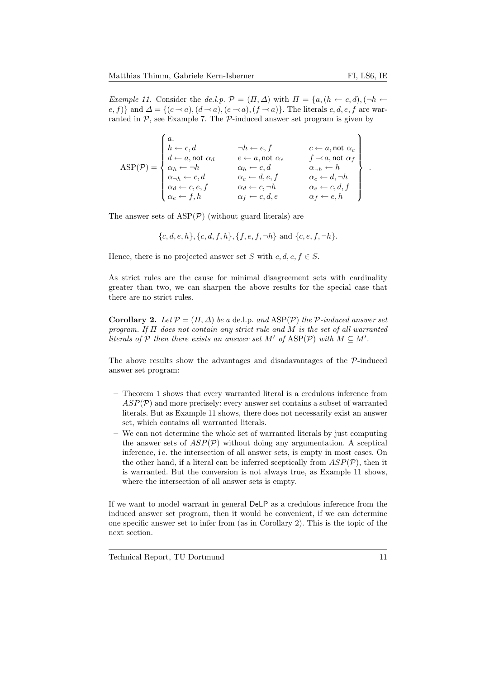*Example 11.* Consider the de.l.p.  $\mathcal{P} = (\Pi, \Delta)$  with  $\Pi = \{a, (h \leftarrow c, d), (\neg h \leftarrow c, d)\}$ e, f)} and  $\Delta = \{(c \prec a), (d \prec a), (e \prec a), (f \prec a)\}.$  The literals c, d, e, f are warranted in  $P$ , see Example 7. The  $P$ -induced answer set program is given by

$$
\text{ASP}(\mathcal{P}) = \begin{Bmatrix} a. & & & \neg h \leftarrow e, f & & c \leftarrow a, \text{not }\alpha_c \\ h \leftarrow c, d & & \neg h \leftarrow e, f & & c \leftarrow a, \text{not }\alpha_c \\ d \leftarrow a, \text{not }\alpha_d & & e \leftarrow a, \text{not }\alpha_e & & f \leftarrow a, \text{not }\alpha_f \\ \alpha_h \leftarrow \neg h & & \alpha_h \leftarrow c, d & & \alpha_{\neg h} \leftarrow h \\ \alpha_{\neg h} \leftarrow c, d & & \alpha_c \leftarrow d, e, f & & \alpha_c \leftarrow d, \neg h \\ \alpha_d \leftarrow c, e, f & & \alpha_d \leftarrow c, \neg h & & \alpha_e \leftarrow c, d, f \\ \alpha_e \leftarrow f, h & & \alpha_f \leftarrow c, d, e & & \alpha_f \leftarrow e, h \end{Bmatrix} \right)
$$

The answer sets of  $\text{ASP}(\mathcal{P})$  (without guard literals) are

$$
\{c, d, e, h\}, \{c, d, f, h\}, \{f, e, f, \neg h\} \text{ and } \{c, e, f, \neg h\}.
$$

Hence, there is no projected answer set S with  $c, d, e, f \in S$ .

As strict rules are the cause for minimal disagreement sets with cardinality greater than two, we can sharpen the above results for the special case that there are no strict rules.

**Corollary 2.** Let  $\mathcal{P} = (\Pi, \Delta)$  be a de.l.p. and  $\text{ASP}(\mathcal{P})$  the  $\mathcal{P}\text{-induced answer set}$ program. If Π does not contain any strict rule and M is the set of all warranted literals of  $P$  then there exists an answer set M' of ASP(P) with  $M \subseteq M'$ .

The above results show the advantages and disadavantages of the P-induced answer set program:

- Theorem 1 shows that every warranted literal is a credulous inference from  $ASP(\mathcal{P})$  and more precisely: every answer set contains a subset of warranted literals. But as Example 11 shows, there does not necessarily exist an answer set, which contains all warranted literals.
- We can not determine the whole set of warranted literals by just computing the answer sets of  $ASP(\mathcal{P})$  without doing any argumentation. A sceptical inference, i.e. the intersection of all answer sets, is empty in most cases. On the other hand, if a literal can be inferred sceptically from  $ASP(\mathcal{P})$ , then it is warranted. But the conversion is not always true, as Example 11 shows, where the intersection of all answer sets is empty.

If we want to model warrant in general DeLP as a credulous inference from the induced answer set program, then it would be convenient, if we can determine one specific answer set to infer from (as in Corollary 2). This is the topic of the next section.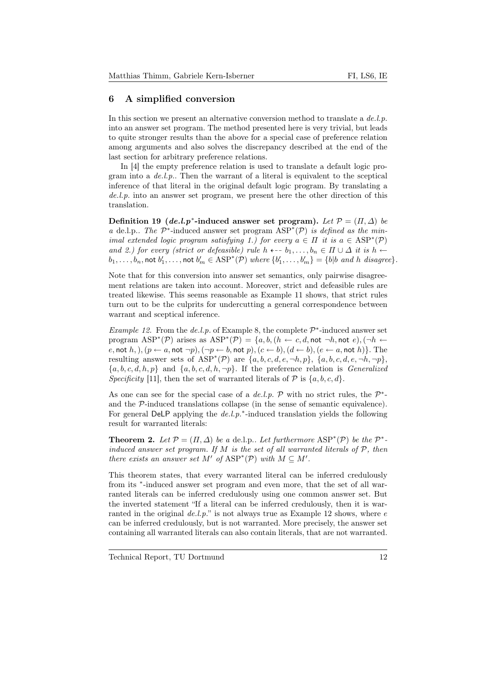# 6 A simplified conversion

In this section we present an alternative conversion method to translate a  $de.l.p.$ into an answer set program. The method presented here is very trivial, but leads to quite stronger results than the above for a special case of preference relation among arguments and also solves the discrepancy described at the end of the last section for arbitrary preference relations.

In [4] the empty preference relation is used to translate a default logic program into a  $de.l.p$ . Then the warrant of a literal is equivalent to the sceptical inference of that literal in the original default logic program. By translating a de.l.p. into an answer set program, we present here the other direction of this translation.

Definition 19 (de.l.p<sup>\*</sup>-induced answer set program). Let  $P = (H, \Delta)$  be a de.l.p.. The  $\mathcal{P}^*$ -induced answer set program  $\text{ASP}^*(\mathcal{P})$  is defined as the minimal extended logic program satisfying 1.) for every  $a \in \Pi$  it is  $a \in \text{ASP}^*(\mathcal{P})$ and 2.) for every (strict or defeasible) rule h  $\leftarrow b_1, \ldots, b_n \in \Pi \cup \Delta$  it is  $h \leftarrow$  $b_1,\ldots,b_n,$  not  $b'_1,\ldots,$  not  $b'_m\in \text{ASP}^*(\mathcal{P})$  where  $\{b'_1,\ldots,b'_m\}=\{b|b\text{ and }h\text{ disagree}\}.$ 

Note that for this conversion into answer set semantics, only pairwise disagreement relations are taken into account. Moreover, strict and defeasible rules are treated likewise. This seems reasonable as Example 11 shows, that strict rules turn out to be the culprits for undercutting a general correspondence between warrant and sceptical inference.

*Example 12.* From the de.l.p. of Example 8, the complete  $\mathcal{P}^*$ -induced answer set program  $\text{ASP}^*(\mathcal{P})$  arises as  $\text{ASP}^*(\mathcal{P}) = \{a, b, (h \leftarrow c, d, \textsf{not} \neg h, \textsf{not} \ e), (\neg h \leftarrow c, d, \textsf{not} \ e) \}$ e, not h,  $(n \leftarrow a, \text{not } \neg p)$ ,  $(\neg p \leftarrow b, \text{not } p)$ ,  $(c \leftarrow b)$ ,  $(d \leftarrow b)$ ,  $(e \leftarrow a, \text{not } h)$ . The resulting answer sets of  $\text{ASP}^*(\mathcal{P})$  are  $\{a, b, c, d, e, \neg h, p\}, \{a, b, c, d, e, \neg h, \neg p\},\$  ${a, b, c, d, h, p}$  and  ${a, b, c, d, h, \neg p}$ . If the preference relation is *Generalized* Specificity [11], then the set of warranted literals of  $P$  is  $\{a, b, c, d\}$ .

As one can see for the special case of a de.l.p.  $P$  with no strict rules, the  $P^*$ and the P-induced translations collapse (in the sense of semantic equivalence). For general DeLP applying the  $de.l.p.*$ -induced translation yields the following result for warranted literals:

**Theorem 2.** Let  $\mathcal{P} = (\Pi, \Delta)$  be a de.l.p.. Let furthermore  $\text{ASP}^*(\mathcal{P})$  be the  $\mathcal{P}^*$ induced answer set program. If M is the set of all warranted literals of  $P$ , then there exists an answer set M' of  $\text{ASP}^*(\mathcal{P})$  with  $M \subseteq M'$ .

This theorem states, that every warranted literal can be inferred credulously from its <sup>\*</sup>-induced answer set program and even more, that the set of all warranted literals can be inferred credulously using one common answer set. But the inverted statement "If a literal can be inferred credulously, then it is warranted in the original  $de.l.p.'$  is not always true as Example 12 shows, where  $e$ can be inferred credulously, but is not warranted. More precisely, the answer set containing all warranted literals can also contain literals, that are not warranted.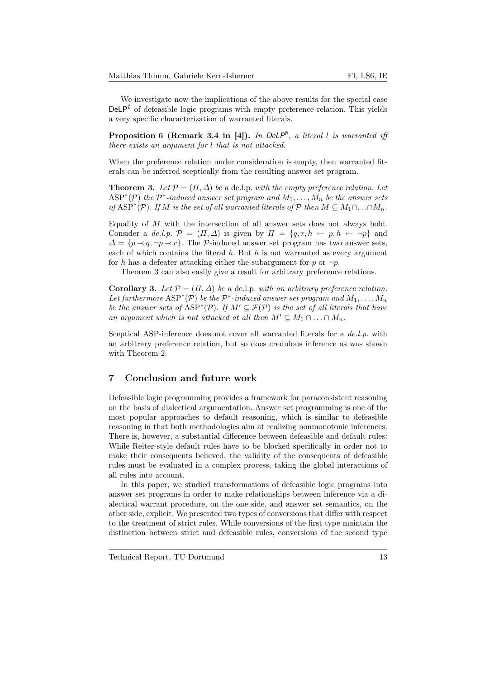We investigate now the implications of the above results for the special case  $DeLP^{\emptyset}$  of defeasible logic programs with empty preference relation. This yields a very specific characterization of warranted literals.

**Proposition 6 (Remark 3.4 in [4]).** In DeLP<sup>®</sup>, a literal l is warranted iff there exists an argument for l that is not attacked.

When the preference relation under consideration is empty, then warranted literals can be inferred sceptically from the resulting answer set program.

**Theorem 3.** Let  $\mathcal{P} = (\Pi, \Delta)$  be a de.l.p. with the empty preference relation. Let  $\text{ASP}^*(\mathcal{P})$  the  $\mathcal{P}^*$ -induced answer set program and  $M_1, \ldots, M_n$  be the answer sets of ASP<sup>\*</sup>(P). If M is the set of all warranted literals of P then  $M \subseteq M_1 \cap ... \cap M_n$ .

Equality of  $M$  with the intersection of all answer sets does not always hold. Consider a de.l.p.  $\mathcal{P} = (\Pi, \Delta)$  is given by  $\Pi = \{q, r, h \leftarrow p, h \leftarrow \neg p\}$  and  $\Delta = \{p \prec q, \neg p \prec r\}.$  The P-induced answer set program has two answer sets, each of which contains the literal  $h$ . But  $h$  is not warranted as every argument for h has a defeater attacking either the subargument for p or  $\neg p$ .

Theorem 3 can also easily give a result for arbitrary preference relations.

Corollary 3. Let  $\mathcal{P} = (\Pi, \Delta)$  be a de.l.p. with an arbitrary preference relation. Let furthermore  $\text{ASP}^*(\mathcal{P})$  be the  $\mathcal{P}^*$ -induced answer set program and  $M_1, \ldots, M_n$ be the answer sets of  $\text{ASP}^*(\mathcal{P})$ . If  $M' \subseteq \mathcal{F}(\mathcal{P})$  is the set of all literals that have an argument which is not attacked at all then  $M' \subseteq M_1 \cap \ldots \cap M_n$ .

Sceptical ASP-inference does not cover all warranted literals for a  $de.l.p.$  with an arbitrary preference relation, but so does credulous inference as was shown with Theorem 2.

#### 7 Conclusion and future work

Defeasible logic programming provides a framework for paraconsistent reasoning on the basis of dialectical argumentation. Answer set programming is one of the most popular approaches to default reasoning, which is similar to defeasible reasoning in that both methodologies aim at realizing nonmonotonic inferences. There is, however, a substantial difference between defeasible and default rules: While Reiter-style default rules have to be blocked specifically in order not to make their consequents believed, the validity of the consequents of defeasible rules must be evaluated in a complex process, taking the global interactions of all rules into account.

In this paper, we studied transformations of defeasible logic programs into answer set programs in order to make relationships between inference via a dialectical warrant procedure, on the one side, and answer set semantics, on the other side, explicit. We presented two types of conversions that differ with respect to the treatment of strict rules. While conversions of the first type maintain the distinction between strict and defeasible rules, conversions of the second type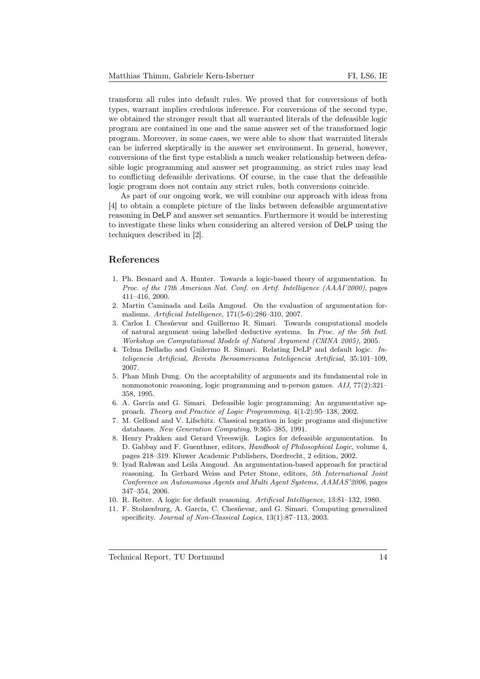transform all rules into default rules. We proved that for conversions of both types, warrant implies credulous inference. For conversions of the second type, we obtained the stronger result that all warranted literals of the defeasible logic program are contained in one and the same answer set of the transformed logic program. Moreover, in some cases, we were able to show that warranted literals can be inferred skeptically in the answer set environment. In general, however, conversions of the first type establish a much weaker relationship between defeasible logic programming and answer set programming, as strict rules may lead to conflicting defeasible derivations. Of course, in the case that the defeasible logic program does not contain any strict rules, both conversions coincide.

As part of our ongoing work, we will combine our approach with ideas from [4] to obtain a complete picture of the links between defeasible argumentative reasoning in DeLP and answer set semantics. Furthermore it would be interesting to investigate these links when considering an altered version of DeLP using the techniques described in [2].

## References

- 1. Ph. Besnard and A. Hunter. Towards a logic-based theory of argumentation. In Proc. of the 17th American Nat. Conf. on Artif. Intelligence (AAAI'2000), pages 411–416, 2000.
- 2. Martin Caminada and Leila Amgoud. On the evaluation of argumentation formalisms. Artificial Intelligence, 171(5-6):286–310, 2007.
- 3. Carlos I. Chesñevar and Guillermo R. Simari. Towards computational models of natural argument using labelled deductive systems. In Proc. of the 5th Intl. Workshop on Computational Models of Natural Argument (CMNA 2005), 2005.
- 4. Telma Delladio and Guilermo R. Simari. Relating DeLP and default logic. Inteligencia Artificial, Revista Iberoamericana Inteligencia Artificial, 35:101–109, 2007.
- 5. Phan Minh Dung. On the acceptability of arguments and its fundamental role in nonmonotonic reasoning, logic programming and n-person games. AIJ, 77(2):321– 358, 1995.
- 6. A. García and G. Simari. Defeasible logic programming: An argumentative approach. Theory and Practice of Logic Programming, 4(1-2):95–138, 2002.
- 7. M. Gelfond and V. Lifschitz. Classical negation in logic programs and disjunctive databases. New Generation Computing, 9:365–385, 1991.
- 8. Henry Prakken and Gerard Vreeswijk. Logics for defeasible argumentation. In D. Gabbay and F. Guenthner, editors, Handbook of Philosophical Logic, volume 4, pages 218–319. Kluwer Academic Publishers, Dordrecht, 2 edition, 2002.
- 9. Iyad Rahwan and Leila Amgoud. An argumentation-based approach for practical reasoning. In Gerhard Weiss and Peter Stone, editors, 5th International Joint Conference on Autonomous Agents and Multi Agent Systems, AAMAS'2006, pages 347–354, 2006.
- 10. R. Reiter. A logic for default reasoning. Artificial Intelligence, 13:81–132, 1980.
- 11. F. Stolzenburg, A. García, C. Chesñevar, and G. Simari. Computing generalized specificity. Journal of Non-Classical Logics, 13(1):87–113, 2003.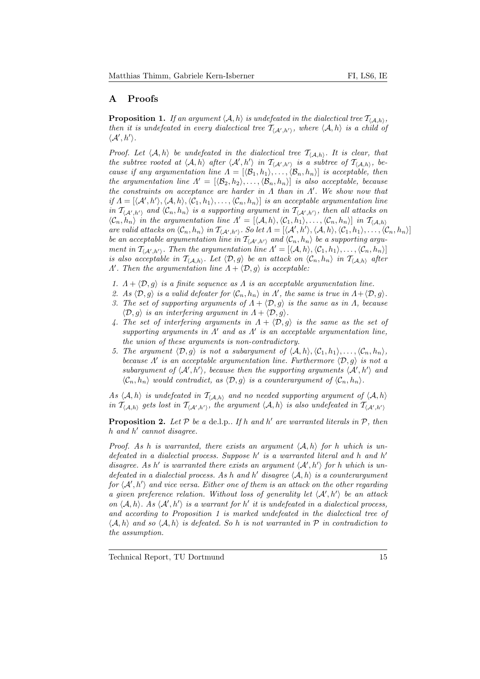# A Proofs

**Proposition 1.** If an argument  $\langle A, h \rangle$  is undefeated in the dialectical tree  $\mathcal{T}_{\langle A,h \rangle}$ , then it is undefeated in every dialectical tree  $\mathcal{T}_{\langle A',h'\rangle}$ , where  $\langle A, h \rangle$  is a child of  $\langle A', h' \rangle$ .

Proof. Let  $\langle A, h \rangle$  be undefeated in the dialectical tree  $\mathcal{T}_{\langle A, h \rangle}$ . It is clear, that the subtree rooted at  $\langle A, h \rangle$  after  $\langle A', h' \rangle$  in  $\mathcal{T}_{\langle A', h' \rangle}$  is a subtree of  $\mathcal{T}_{\langle A, h \rangle}$ , because if any argumentation line  $\Lambda = [\langle \mathcal{B}_1, h_1 \rangle, \ldots, \langle \mathcal{B}_n, h_n \rangle]$  is acceptable, then the argumentation line  $\Lambda' = [\langle \mathcal{B}_2, h_2 \rangle, \ldots, \langle \mathcal{B}_n, h_n \rangle]$  is also acceptable, because the constraints on acceptance are harder in  $\Lambda$  than in  $\Lambda'$ . We show now that if  $\Lambda = [\langle A', h'\rangle, \langle A, h\rangle, \langle C_1, h_1\rangle, \ldots, \langle C_n, h_n\rangle]$  is an acceptable argumentation line in  $\mathcal{T}_{\langle A',h'\rangle}$  and  $\langle \mathcal{C}_n,h_n\rangle$  is a supporting argument in  $\mathcal{T}_{\langle A',h'\rangle}$ , then all attacks on  $\langle \mathcal{C}_n, h_n \rangle$  in the argumentation line  $\Lambda' = [\langle \mathcal{A}, h \rangle, \langle \mathcal{C}_1, h_1 \rangle, \ldots, \langle \mathcal{C}_n, h_n \rangle]$  in  $\mathcal{T}_{\langle \mathcal{A}, h \rangle}$ are valid attacks on  $\langle C_n, h_n \rangle$  in  $\mathcal{T}_{\langle A',h'\rangle}$ . So let  $\Lambda = [\langle A', h' \rangle, \langle A, h \rangle, \langle C_1, h_1 \rangle, \ldots, \langle C_n, h_n \rangle]$ be an acceptable argumentation line in  $\mathcal{T}_{\langle A',h'\rangle}$  and  $\langle \mathcal{C}_n, h_n\rangle$  be a supporting argument in  $\mathcal{T}_{\langle A',h'\rangle}$ . Then the argumentation line  $\Lambda' = [\langle A, h \rangle, \langle C_1, h_1 \rangle, \ldots, \langle C_n, h_n \rangle]$ is also acceptable in  $\mathcal{T}_{(\mathcal{A},h)}$ . Let  $\langle \mathcal{D}, g \rangle$  be an attack on  $\langle \mathcal{C}_n, h_n \rangle$  in  $\mathcal{T}_{(\mathcal{A},h)}$  after  $\Lambda'$ . Then the argumentation line  $\Lambda + \langle \mathcal{D}, g \rangle$  is acceptable:

- 1.  $\Lambda + \langle \mathcal{D}, g \rangle$  is a finite sequence as  $\Lambda$  is an acceptable argumentation line.
- 2. As  $\langle \mathcal{D}, g \rangle$  is a valid defeater for  $\langle \mathcal{C}_n, h_n \rangle$  in  $\Lambda'$ , the same is true in  $\Lambda + \langle \mathcal{D}, g \rangle$ .
- 3. The set of supporting arguments of  $\Lambda + \langle \mathcal{D}, g \rangle$  is the same as in  $\Lambda$ , because  $\langle \mathcal{D}, g \rangle$  is an interfering argument in  $\Lambda + \langle \mathcal{D}, g \rangle$ .
- 4. The set of interfering arguments in  $\Lambda + \langle \mathcal{D}, g \rangle$  is the same as the set of supporting arguments in  $\Lambda'$  and as  $\Lambda'$  is an acceptable argumentation line, the union of these arguments is non-contradictory.
- 5. The argument  $\langle \mathcal{D}, g \rangle$  is not a subargument of  $\langle A, h \rangle$ ,  $\langle C_1, h_1 \rangle$ , ...,  $\langle C_n, h_n \rangle$ , because  $\Lambda'$  is an acceptable argumentation line. Furthermore  $\langle \mathcal{D}, g \rangle$  is not a subargument of  $\langle A', h'\rangle$ , because then the supporting arguments  $\langle A', h'\rangle$  and  $\langle C_n, h_n \rangle$  would contradict, as  $\langle \mathcal{D}, g \rangle$  is a counterargument of  $\langle C_n, h_n \rangle$ .

As  $\langle A, h \rangle$  is undefeated in  $\mathcal{T}_{\langle A, h \rangle}$  and no needed supporting argument of  $\langle A, h \rangle$ in  $\mathcal{T}_{\langle\mathcal{A},h\rangle}$  gets lost in  $\mathcal{T}_{\langle\mathcal{A}',h'\rangle}$ , the argument  $\langle\mathcal{A},h\rangle$  is also undefeated in  $\mathcal{T}_{\langle\mathcal{A}',h'\rangle}$ 

**Proposition 2.** Let  $P$  be a de.l.p.. If h and h' are warranted literals in  $P$ , then h and h' cannot disagree.

Proof. As h is warranted, there exists an argument  $\langle A, h \rangle$  for h which is undefeated in a dialectial process. Suppose  $h'$  is a warranted literal and h and  $h'$ disagree. As h' is warranted there exists an argument  $\langle A', h' \rangle$  for h which is undefeated in a dialectial process. As h and h' disagree  $\langle A, h \rangle$  is a counterargument for  $\langle A', h'\rangle$  and vice versa. Either one of them is an attack on the other regarding a given preference relation. Without loss of generality let  $\langle A', h' \rangle$  be an attack on  $\langle A, h \rangle$ . As  $\langle A', h' \rangle$  is a warrant for h' it is undefeated in a dialectical process, and according to Proposition 1 is marked undefeated in the dialectical tree of  $\langle A, h \rangle$  and so  $\langle A, h \rangle$  is defeated. So h is not warranted in P in contradiction to the assumption.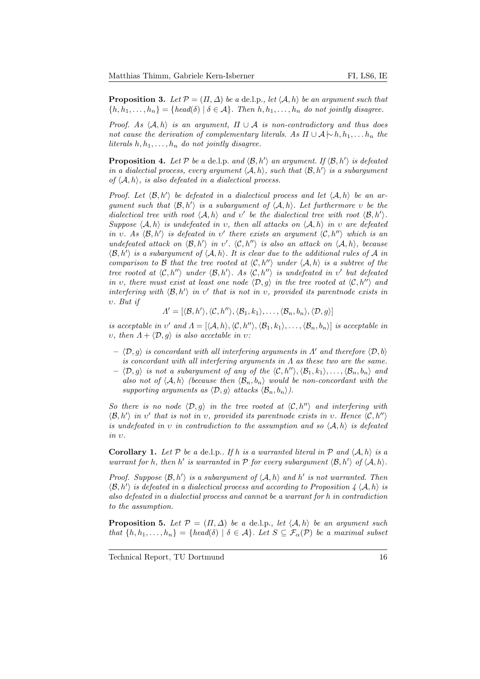**Proposition 3.** Let  $\mathcal{P} = (\Pi, \Delta)$  be a de.l.p., let  $\langle A, h \rangle$  be an argument such that  ${h, h_1, \ldots, h_n} = {head(\delta) | \delta \in \mathcal{A}}$ . Then  $h, h_1, \ldots, h_n$  do not jointly disagree.

Proof. As  $\langle A, h \rangle$  is an argument,  $\Pi \cup A$  is non-contradictory and thus does not cause the derivation of complementary literals. As  $\Pi \cup A \rightarrow h, h_1, \ldots h_n$  the literals  $h, h_1, \ldots, h_n$  do not jointly disagree.

**Proposition 4.** Let P be a de.l.p. and  $\langle \mathcal{B}, h' \rangle$  an argument. If  $\langle \mathcal{B}, h' \rangle$  is defeated in a dialectial process, every argument  $\langle A, h \rangle$ , such that  $\langle B, h' \rangle$  is a subargument of  $\langle A, h \rangle$ , is also defeated in a dialectical process.

Proof. Let  $\langle \mathcal{B}, h' \rangle$  be defeated in a dialectical process and let  $\langle \mathcal{A}, h \rangle$  be an argument such that  $\langle \mathcal{B}, h' \rangle$  is a subargument of  $\langle \mathcal{A}, h \rangle$ . Let furthermore v be the dialectical tree with root  $\langle A, h \rangle$  and v' be the dialectical tree with root  $\langle B, h' \rangle$ . Suppose  $\langle A, h \rangle$  is undefeated in v, then all attacks on  $\langle A, h \rangle$  in v are defeated in v. As  $\langle \mathcal{B}, h' \rangle$  is defeated in v' there exists an argument  $\langle \mathcal{C}, h'' \rangle$  which is an undefeated attack on  $\langle \mathcal{B}, h' \rangle$  in v'.  $\langle \mathcal{C}, h'' \rangle$  is also an attack on  $\langle \mathcal{A}, h \rangle$ , because  $\langle \mathcal{B}, h' \rangle$  is a subargument of  $\langle A, h \rangle$ . It is clear due to the additional rules of A in comparison to B that the tree rooted at  $\langle C, h'' \rangle$  under  $\langle A, h \rangle$  is a subtree of the tree rooted at  $\langle \mathcal{C}, h'' \rangle$  under  $\langle \mathcal{B}, h' \rangle$ . As  $\langle \mathcal{C}, h'' \rangle$  is undefeated in v' but defeated in v, there must exist at least one node  $\langle \mathcal{D}, q \rangle$  in the tree rooted at  $\langle \mathcal{C}, h'' \rangle$  and interfering with  $\langle \mathcal{B}, h' \rangle$  in v' that is not in v, provided its parentnode exists in υ. But if

 $\Lambda' = [\langle \mathcal{B}, h' \rangle, \langle \mathcal{C}, h'' \rangle, \langle \mathcal{B}_1, k_1 \rangle, \ldots, \langle \mathcal{B}_n, b_n \rangle, \langle \mathcal{D}, g \rangle]$ 

is acceptable in v' and  $\Lambda = [\langle A, h \rangle, \langle \mathcal{C}, h'' \rangle, \langle \mathcal{B}_1, k_1 \rangle, \ldots, \langle \mathcal{B}_n, b_n \rangle]$  is acceptable in υ, then  $Λ + \langle D, g \rangle$  is also accetable in υ:

- $\langle \mathcal{D}, g \rangle$  is concordant with all interfering arguments in Λ' and therefore  $\langle \mathcal{D}, b \rangle$ is concordant with all interfering arguments in  $\Lambda$  as these two are the same.
- $\langle \mathcal{D}, g \rangle$  is not a subargument of any of the  $\langle \mathcal{C}, h'' \rangle, \langle \mathcal{B}_1, k_1 \rangle, \ldots, \langle \mathcal{B}_n, b_n \rangle$  and also not of  $\langle A, h \rangle$  (because then  $\langle B_n, b_n \rangle$  would be non-concordant with the supporting arguments as  $\langle \mathcal{D}, g \rangle$  attacks  $\langle \mathcal{B}_n, b_n \rangle$ .

So there is no node  $\langle \mathcal{D}, q \rangle$  in the tree rooted at  $\langle \mathcal{C}, h'' \rangle$  and interfering with  $\langle \mathcal{B}, h' \rangle$  in v' that is not in v, provided its parentnode exists in v. Hence  $\langle \mathcal{C}, h'' \rangle$ is undefeated in v in contradiction to the assumption and so  $\langle A, h \rangle$  is defeated in υ.

**Corollary 1.** Let P be a de.l.p.. If h is a warranted literal in P and  $\langle A, h \rangle$  is a warrant for h, then h' is warranted in  $P$  for every subargument  $\langle \mathcal{B}, h' \rangle$  of  $\langle A, h \rangle$ .

Proof. Suppose  $\langle \mathcal{B}, h' \rangle$  is a subargument of  $\langle \mathcal{A}, h \rangle$  and h' is not warranted. Then  $\langle \mathcal{B}, h' \rangle$  is defeated in a dialectical process and according to Proposition 4  $\langle A, h \rangle$  is also defeated in a dialectial process and cannot be a warrant for h in contradiction to the assumption.

**Proposition 5.** Let  $\mathcal{P} = (\Pi, \Delta)$  be a de.l.p., let  $\langle A, h \rangle$  be an argument such that  $\{h, h_1, \ldots, h_n\} = \{head(\delta) | \delta \in \mathcal{A}\}\$ . Let  $S \subseteq \mathcal{F}_{\alpha}(\mathcal{P})$  be a maximal subset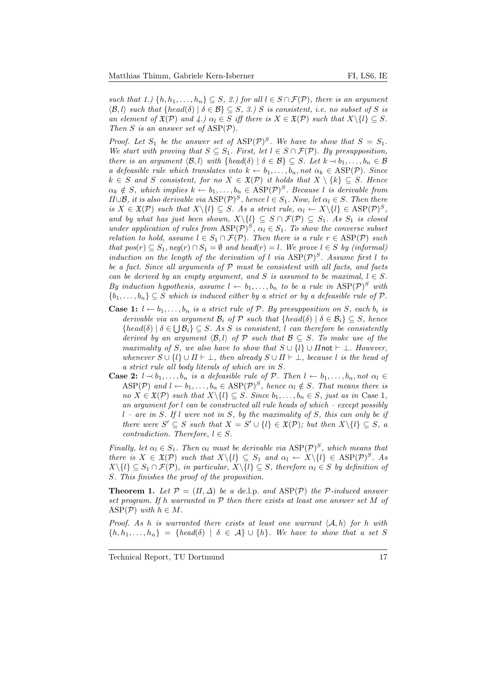such that 1.)  $\{h, h_1, \ldots, h_n\} \subseteq S$ , 2.) for all  $l \in S \cap \mathcal{F}(\mathcal{P})$ , there is an argument  $\langle \mathcal{B}, l \rangle$  such that  $\{head(\delta) | \delta \in \mathcal{B}\} \subseteq S$ , 3.) S is consistent, i.e. no subset of S is an element of  $\mathfrak{X}(\mathcal{P})$  and  $\{4.\}$   $\alpha_l \in S$  iff there is  $X \in \mathfrak{X}(\mathcal{P})$  such that  $X \setminus \{l\} \subseteq S$ . Then S is an answer set of  $\text{ASP}(\mathcal{P})$ .

Proof. Let  $S_1$  be the answer set of  $\text{ASP}(\mathcal{P})^S$ . We have to show that  $S = S_1$ . We start with proving that  $S \subseteq S_1$ . First, let  $l \in S \cap \mathcal{F}(\mathcal{P})$ . By presupposition, there is an argument  $\langle \mathcal{B}, l \rangle$  with  $\{head(\delta) | \delta \in \mathcal{B}\} \subseteq S$ . Let  $k \to b_1, \ldots, b_n \in \mathcal{B}$ a defeasible rule which translates into  $k \leftarrow b_1, \ldots, b_n$ , not  $\alpha_k \in \text{ASP}(\mathcal{P})$ . Since  $k \in S$  and S consistent, for no  $X \in \mathfrak{X}(\mathcal{P})$  it holds that  $X \setminus \{k\} \subseteq S$ . Hence  $\alpha_k \notin S$ , which implies  $k \leftarrow b_1, \ldots, b_n \in \text{ASP}(\mathcal{P})^S$ . Because l is derivable from  $\Pi \cup \mathcal{B}$ , it is also derivable via  $\text{ASP}(\mathcal{P})^S$ , hence  $l \in S_1$ . Now, let  $\alpha_l \in S$ . Then there is  $X \in \mathfrak{X}(\mathcal{P})$  such that  $X \setminus \{l\} \subseteq S$ . As a strict rule,  $\alpha_l \leftarrow X \setminus \{l\} \in \text{ASP}(\mathcal{P})^S$ , and by what has just been shown,  $X\backslash\{l\} \subseteq S \cap \mathcal{F}(\mathcal{P}) \subseteq S_1$ . As  $S_1$  is closed under application of rules from  $ASP(\mathcal{P})^S$ ,  $\alpha_l \in S_1$ . To show the converse subset relation to hold, assume  $l \in S_1 \cap \mathcal{F}(\mathcal{P})$ . Then there is a rule  $r \in \text{ASP}(\mathcal{P})$  such that  $pos(r) \subseteq S_1, neg(r) \cap S_1 = \emptyset$  and  $head(r) = l$ . We prove  $l \in S$  by (informal) induction on the length of the derivation of l via  $\text{ASP}(\mathcal{P})^S$ . Assume first l to be a fact. Since all arguments of  $P$  must be consistent with all facts, and facts can be derived by an empty argument, and S is assumed to be maximal,  $l \in S$ . By induction hypothesis, assume  $l \leftarrow b_1, \ldots, b_n$  to be a rule in  $\text{ASP}(\mathcal{P})^S$  with  ${b_1, \ldots, b_n} \subseteq S$  which is induced either by a strict or by a defeasible rule of P.

- **Case 1:**  $l \leftarrow b_1, \ldots, b_n$  is a strict rule of  $P$ . By presupposition on S, each  $b_i$  is derivable via an argument  $\mathcal{B}_i$  of  $\mathcal P$  such that  $\{head(\delta) | \delta \in \mathcal{B}_i\} \subseteq S$ , hence  ${head(\delta) | \delta \in \bigcup \mathcal{B}_i} \subseteq S$ . As S is consistent, l can therefore be consistently derived by an argument  $\langle \mathcal{B}, l \rangle$  of P such that  $\mathcal{B} \subseteq S$ . To make use of the maximality of S, we also have to show that  $S \cup \{l\} \cup \Pi$  not  $\vdash \bot$ . However, whenever  $S \cup \{l\} \cup \Pi \vdash \bot$ , then already  $S \cup \Pi \vdash \bot$ , because l is the head of a strict rule all body literals of which are in S.
- **Case 2:**  $l \rightarrow b_1, \ldots, b_n$  is a defeasible rule of P. Then  $l \leftarrow b_1, \ldots, b_n$ , not  $\alpha_l \in$  $\text{ASP}(\mathcal{P})$  and  $l \leftarrow b_1, \ldots, b_n \in \text{ASP}(\mathcal{P})^S$ , hence  $\alpha_l \notin S$ . That means there is no  $X \in \mathfrak{X}(\mathcal{P})$  such that  $X \setminus \{l\} \subseteq S$ . Since  $b_1, \ldots, b_n \in S$ , just as in Case 1, an argument for l can be constructed all rule heads of which – except possibly  $l$  – are in S. If l were not in S, by the maximality of S, this can only be if there were  $S' \subseteq S$  such that  $X = S' \cup \{l\} \in \mathfrak{X}(\mathcal{P})$ ; but then  $X \setminus \{l\} \subseteq S$ , a contradiction. Therefore,  $l \in S$ .

Finally, let  $\alpha_l \in S_1$ . Then  $\alpha_l$  must be derivable via  $\text{ASP}(\mathcal{P})^S$ , which means that there is  $X \in \mathfrak{X}(\mathcal{P})$  such that  $X \setminus \{l\} \subseteq S_1$  and  $\alpha_l \leftarrow X \setminus \{l\} \in \text{ASP}(\mathcal{P})^S$ . As  $X\backslash\{l\} \subseteq S_1 \cap \mathcal{F}(\mathcal{P})$ , in particular,  $X\backslash\{l\} \subseteq S$ , therefore  $\alpha_l \in S$  by definition of S. This finishes the proof of the proposition.

**Theorem 1.** Let  $\mathcal{P} = (\Pi, \Delta)$  be a de.l.p. and ASP(P) the P-induced answer set program. If h warranted in  $P$  then there exists at least one answer set M of ASP( $P$ ) with  $h \in M$ .

Proof. As h is warranted there exists at least one warrant  $\langle A, h \rangle$  for h with  ${h, h_1, \ldots, h_n} = {head(\delta) | \delta \in \mathcal{A}} \cup {h}.$  We have to show that a set S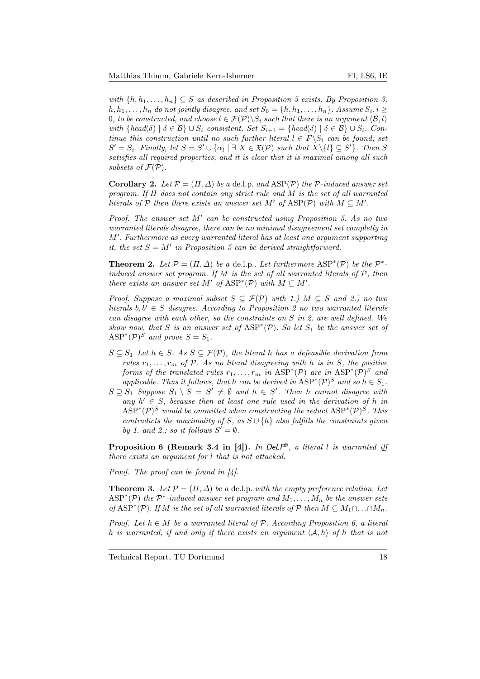with  $\{h, h_1, \ldots, h_n\} \subseteq S$  as described in Proposition 5 exists. By Proposition 3,  $h, h_1, \ldots, h_n$  do not jointly disagree, and set  $S_0 = \{h, h_1, \ldots, h_n\}$ . Assume  $S_i, i \geq$ 0, to be constructed, and choose  $l \in \mathcal{F}(\mathcal{P}) \backslash S_i$  such that there is an argument  $\langle \mathcal{B}, l \rangle$ with  ${head(\delta) | \delta \in \mathcal{B}} \cup S_i$  consistent. Set  $S_{i+1} = {head(\delta) | \delta \in \mathcal{B}} \cup S_i$ . Continue this construction until no such further literal  $l \in F \backslash S_i$  can be found; set  $S' = S_i$ . Finally, let  $S = S' \cup {\alpha_l \mid \exists X \in \mathfrak{X}(\mathcal{P})}$  such that  $X \setminus \{l\} \subseteq S'$ . Then S satisfies all required properties, and it is clear that it is maximal among all such subsets of  $\mathcal{F}(\mathcal{P})$ .

**Corollary 2.** Let  $P = (\Pi, \Delta)$  be a de.l.p. and  $\text{ASP}(P)$  the P-induced answer set program. If  $\Pi$  does not contain any strict rule and M is the set of all warranted literals of P then there exists an answer set M' of  $\text{ASP}(\mathcal{P})$  with  $M \subseteq M'$ .

Proof. The answer set  $M'$  can be constructed using Proposition 5. As no two warranted literals disagree, there can be no minimal disagreement set completly in M'. Furthermore as every warranted literal has at least one argument supporting it, the set  $S = M'$  in Proposition 5 can be derived straightforward.

**Theorem 2.** Let  $P = (\Pi, \Delta)$  be a de.l.p.. Let furthermore  $ASP^*(P)$  be the  $P^*$ induced answer set program. If M is the set of all warranted literals of  $P$ , then there exists an answer set M' of  $\text{ASP}^*(\mathcal{P})$  with  $M \subseteq M'$ .

Proof. Suppose a maximal subset  $S \subseteq \mathcal{F}(\mathcal{P})$  with 1.)  $M \subseteq S$  and 2.) no two literals  $b, b' \in S$  disagree. According to Proposition 2 no two warranted literals can disagree with each other, so the constraints on S in 2. are well defined. We show now, that S is an answer set of  $\text{ASP}^*(\mathcal{P})$ . So let  $S_1$  be the answer set of  $\text{ASP}^*(\mathcal{P})^S$  and prove  $S = S_1$ .

- $S \subseteq S_1$  Let  $h \in S$ . As  $S \subseteq \mathcal{F}(\mathcal{P})$ , the literal h has a defeasible derivation from rules  $r_1, \ldots, r_m$  of P. As no literal disagreeing with h is in S, the positive forms of the translated rules  $r_1, \ldots, r_m$  in  $\text{ASP}^*(\mathcal{P})$  are in  $\text{ASP}^*(\mathcal{P})^S$  and applicable. Thus it follows, that h can be derived in  $\text{ASP}^*(\mathcal{P})^S$  and so  $h \in S_1$ .
- $S \supseteq S_1$  Suppose  $S_1 \setminus S = S' \neq \emptyset$  and  $h \in S'$ . Then h cannot disagree with any  $h' \in S$ , because then at least one rule used in the derivation of h in  $\text{ASP}^*(\mathcal{P})^S$  would be ommitted when constructing the reduct  $\text{ASP}^*(\mathcal{P})^S$ . This contradicts the maximality of S, as  $S \cup \{h\}$  also fulfills the constraints given by 1. and 2.; so it follows  $S' = \emptyset$ .

**Proposition 6 (Remark 3.4 in [4]).** In DeLP<sup>®</sup>, a literal l is warranted iff there exists an argument for l that is not attacked.

*Proof.* The proof can be found in  $\mathcal{L}$ .

**Theorem 3.** Let  $\mathcal{P} = (\Pi, \Delta)$  be a de.l.p. with the empty preference relation. Let  $\text{ASP}^*(\mathcal{P})$  the  $\mathcal{P}^*$ -induced answer set program and  $M_1,\ldots,M_n$  be the answer sets of ASP<sup>\*</sup>(P). If M is the set of all warranted literals of P then  $M \subseteq M_1 \cap ... \cap M_n$ .

Proof. Let  $h \in M$  be a warranted literal of  $P$ . According Proposition 6, a literal h is warranted, if and only if there exists an argument  $\langle A, h \rangle$  of h that is not